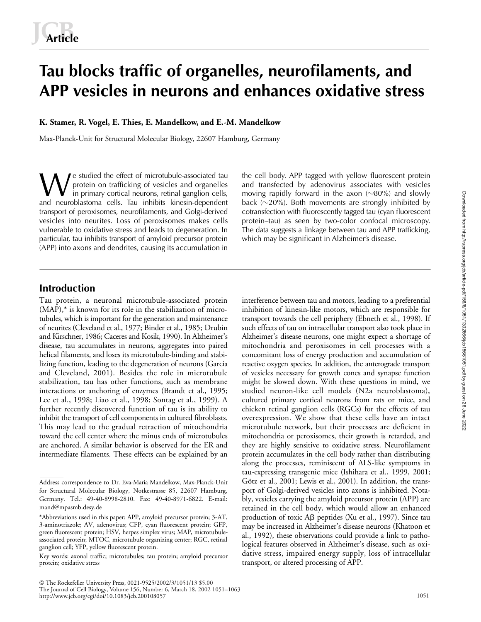# **Tau blocks traffic of organelles, neurofilaments, and APP vesicles in neurons and enhances oxidative stress**

**K. Stamer, R. Vogel, E. Thies, E. Mandelkow, and E.-M. Mandelkow**

Max-Planck-Unit for Structural Molecular Biology, 22607 Hamburg, Germany

e studied the effect of microtubule-associated tau protein on trafficking of vesicles and organelles in primary cortical neurons, retinal ganglion cells, and neuroblastoma cells. Tau inhibits kinesin-dependent transport of peroxisomes, neurofilaments, and Golgi-derived vesicles into neurites. Loss of peroxisomes makes cells vulnerable to oxidative stress and leads to degeneration. In particular, tau inhibits transport of amyloid precursor protein (APP) into axons and dendrites, causing its accumulation in We studied the effect of microtubule-associated tau the cell body. APP tagged with yellow fluorescent protein<br>
in primary cortical neurons, retinal ganglion cells, moving rapidly forward in the axon (~80%) and slowly<br>
and

and transfected by adenovirus associates with vesicles back ( $\sim$ 20%). Both movements are strongly inhibited by cotransfection with fluorescently tagged tau (cyan fluorescent protein–tau) as seen by two-color confocal microscopy. The data suggests a linkage between tau and APP trafficking, which may be significant in Alzheimer's disease.

# **Introduction**

Tau protein, a neuronal microtubule-associated protein (MAP),\* is known for its role in the stabilization of microtubules, which is important for the generation and maintenance of neurites (Cleveland et al., 1977; Binder et al., 1985; Drubin and Kirschner, 1986; Caceres and Kosik, 1990). In Alzheimer's disease, tau accumulates in neurons, aggregates into paired helical filaments, and loses its microtubule-binding and stabilizing function, leading to the degeneration of neurons (Garcia and Cleveland, 2001). Besides the role in microtubule stabilization, tau has other functions, such as membrane interactions or anchoring of enzymes (Brandt et al., 1995; Lee et al., 1998; Liao et al., 1998; Sontag et al., 1999). A further recently discovered function of tau is its ability to inhibit the transport of cell components in cultured fibroblasts. This may lead to the gradual retraction of mitochondria toward the cell center where the minus ends of microtubules are anchored. A similar behavior is observed for the ER and intermediate filaments. These effects can be explained by an

 The Rockefeller University Press, 0021-9525/2002/3/1051/13 \$5.00 The Journal of Cell Biology, Volume 156, Number 6, March 18, 2002 1051–1063 http://www.jcb.org/cgi/doi/10.1083/jcb.200108057

interference between tau and motors, leading to a preferential inhibition of kinesin-like motors, which are responsible for transport towards the cell periphery (Ebneth et al., 1998). If such effects of tau on intracellular transport also took place in Alzheimer's disease neurons, one might expect a shortage of mitochondria and peroxisomes in cell processes with a concomitant loss of energy production and accumulation of reactive oxygen species. In addition, the anterograde transport of vesicles necessary for growth cones and synapse function might be slowed down. With these questions in mind, we studied neuron-like cell models (N2a neuroblastoma), cultured primary cortical neurons from rats or mice, and chicken retinal ganglion cells (RGCs) for the effects of tau overexpression. We show that these cells have an intact microtubule network, but their processes are deficient in mitochondria or peroxisomes, their growth is retarded, and they are highly sensitive to oxidative stress. Neurofilament protein accumulates in the cell body rather than distributing along the processes, reminiscent of ALS-like symptoms in tau-expressing transgenic mice (Ishihara et al., 1999, 2001; Götz et al., 2001; Lewis et al., 2001). In addition, the transport of Golgi-derived vesicles into axons is inhibited. Notably, vesicles carrying the amyloid precursor protein (APP) are retained in the cell body, which would allow an enhanced production of toxic A $\beta$  peptides (Xu et al., 1997). Since tau may be increased in Alzheimer's disease neurons (Khatoon et al., 1992), these observations could provide a link to pathological features observed in Alzheimer's disease, such as oxidative stress, impaired energy supply, loss of intracellular transport, or altered processing of APP.

Address correspondence to Dr. Eva-Maria Mandelkow, Max-Planck-Unit for Structural Molecular Biology, Notkestrasse 85, 22607 Hamburg, Germany. Tel.: 49-40-8998-2810. Fax: 49-40-8971-6822. E-mail: mand@mpasmb.desy.de

<sup>\*</sup>Abbreviations used in this paper: APP, amyloid precursor protein; 3-AT, 3-aminotriazole; AV, adenovirus; CFP, cyan fluorescent protein; GFP, green fluorescent protein; HSV, herpes simplex virus; MAP, microtubuleassociated protein; MTOC, microtubule organizing center; RGC, retinal ganglion cell; YFP, yellow fluorescent protein.

Key words: axonal traffic; microtubules; tau protein; amyloid precursor protein; oxidative stress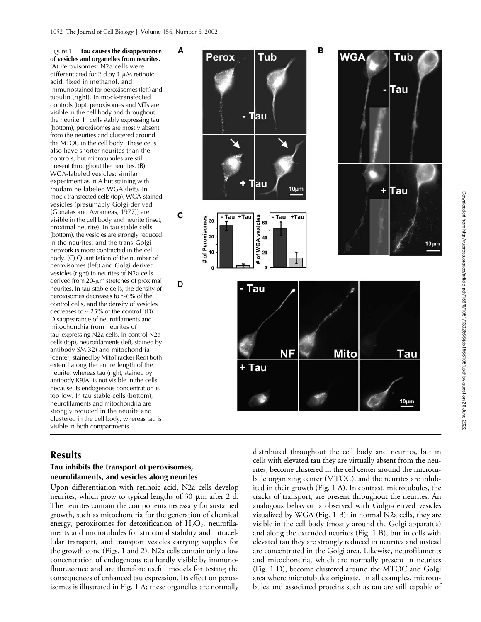

# Downloaded from http://rupress.org/jcb/article-pdf/156/6/1051/1302666/jcb15661051.pdf by guest on 26 June 2022 Downloaded from http://rupress.org/jcb/article-pdf/156/6/1051/1302666/jcb15661051.pdf by guest on 26 June 2022

 $10<sub>µ</sub>m$ 

# **Results**

# **Tau inhibits the transport of peroxisomes, neurofilaments, and vesicles along neurites**

Upon differentiation with retinoic acid, N2a cells develop neurites, which grow to typical lengths of 30  $\mu$ m after 2 d. The neurites contain the components necessary for sustained growth, such as mitochondria for the generation of chemical energy, peroxisomes for detoxification of  $H_2O_2$ , neurofilaments and microtubules for structural stability and intracellular transport, and transport vesicles carrying supplies for the growth cone (Figs. 1 and 2). N2a cells contain only a low concentration of endogenous tau hardly visible by immunofluorescence and are therefore useful models for testing the consequences of enhanced tau expression. Its effect on peroxisomes is illustrated in Fig. 1 A; these organelles are normally distributed throughout the cell body and neurites, but in cells with elevated tau they are virtually absent from the neurites, become clustered in the cell center around the microtubule organizing center (MTOC), and the neurites are inhibited in their growth (Fig. 1 A). In contrast, microtubules, the tracks of transport, are present throughout the neurites. An analogous behavior is observed with Golgi-derived vesicles visualized by WGA (Fig. 1 B): in normal N2a cells, they are visible in the cell body (mostly around the Golgi apparatus) and along the extended neurites (Fig. 1 B), but in cells with elevated tau they are strongly reduced in neurites and instead are concentrated in the Golgi area. Likewise, neurofilaments and mitochondria, which are normally present in neurites (Fig. 1 D), become clustered around the MTOC and Golgi area where microtubules originate. In all examples, microtubules and associated proteins such as tau are still capable of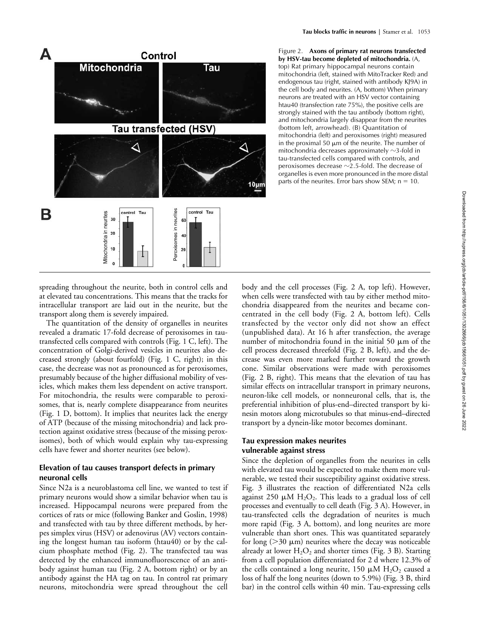Tau transfected (HSV)

**Mitochondria** 

Δ

◁  $10 \mu m$ control Tau Peroxisomes in neurites control Tau В Mitochondria in neurites  $30$ 20 10 20 I  $\perp$ 

**by HSV-tau become depleted of mitochondria.** (A, top) Rat primary hippocampal neurons contain mitochondria (left, stained with MitoTracker Red) and endogenous tau (right, stained with antibody KJ9A) in the cell body and neurites. (A, bottom) When primary neurons are treated with an HSV vector containing htau40 (transfection rate 75%), the positive cells are strongly stained with the tau antibody (bottom right), and mitochondria largely disappear from the neurites (bottom left, arrowhead). (B) Quantitation of mitochondria (left) and peroxisomes (right) measured in the proximal 50  $\mu$ m of the neurite. The number of mitochondria decreases approximately  $\sim$ 3-fold intau-transfected cells compared with controls, and peroxisomes decrease  $\sim$ 2.5-fold. The decrease of organelles is even more pronounced in the more distal parts of the neurites. Error bars show SEM;  $n = 10$ .

**Tau blocks traffic in neurons |** Stamer et al. 1053

spreading throughout the neurite, both in control cells and at elevated tau concentrations. This means that the tracks for intracellular transport are laid out in the neurite, but the transport along them is severely impaired.

The quantitation of the density of organelles in neurites revealed a dramatic 17-fold decrease of peroxisomes in tautransfected cells compared with controls (Fig. 1 C, left). The concentration of Golgi-derived vesicles in neurites also decreased strongly (about fourfold) (Fig. 1 C, right); in this case, the decrease was not as pronounced as for peroxisomes, presumably because of the higher diffusional mobility of vesicles, which makes them less dependent on active transport. For mitochondria, the results were comparable to peroxisomes, that is, nearly complete disappearance from neurites (Fig. 1 D, bottom). It implies that neurites lack the energy of ATP (because of the missing mitochondria) and lack protection against oxidative stress (because of the missing peroxisomes), both of which would explain why tau-expressing cells have fewer and shorter neurites (see below).

#### **Elevation of tau causes transport defects in primary neuronal cells**

Since N2a is a neuroblastoma cell line, we wanted to test if primary neurons would show a similar behavior when tau is increased. Hippocampal neurons were prepared from the cortices of rats or mice (following Banker and Goslin, 1998) and transfected with tau by three different methods, by herpes simplex virus (HSV) or adenovirus (AV) vectors containing the longest human tau isoform (htau40) or by the calcium phosphate method (Fig. 2). The transfected tau was detected by the enhanced immunofluorescence of an antibody against human tau (Fig. 2 A, bottom right) or by an antibody against the HA tag on tau. In control rat primary neurons, mitochondria were spread throughout the cell body and the cell processes (Fig. 2 A, top left). However, when cells were transfected with tau by either method mitochondria disappeared from the neurites and became concentrated in the cell body (Fig. 2 A, bottom left). Cells transfected by the vector only did not show an effect (unpublished data). At 16 h after transfection, the average number of mitochondria found in the initial 50  $\mu$ m of the cell process decreased threefold (Fig. 2 B, left), and the decrease was even more marked further toward the growth cone. Similar observations were made with peroxisomes (Fig. 2 B, right). This means that the elevation of tau has similar effects on intracellular transport in primary neurons, neuron-like cell models, or nonneuronal cells, that is, the preferential inhibition of plus-end–directed transport by kinesin motors along microtubules so that minus-end–directed transport by a dynein-like motor becomes dominant.

## **Tau expression makes neurites vulnerable against stress**

Since the depletion of organelles from the neurites in cells with elevated tau would be expected to make them more vulnerable, we tested their susceptibility against oxidative stress. Fig. 3 illustrates the reaction of differentiated N2a cells against 250  $\mu$ M H<sub>2</sub>O<sub>2</sub>. This leads to a gradual loss of cell processes and eventually to cell death (Fig. 3 A). However, in tau-transfected cells the degradation of neurites is much more rapid (Fig. 3 A, bottom), and long neurites are more vulnerable than short ones. This was quantitated separately for long  $(>30 \mu m)$  neurites where the decay was noticeable already at lower  $H_2O_2$  and shorter times (Fig. 3 B). Starting from a cell population differentiated for 2 d where 12.3% of the cells contained a long neurite, 150  $\mu$ M H<sub>2</sub>O<sub>2</sub> caused a loss of half the long neurites (down to 5.9%) (Fig. 3 B, third bar) in the control cells within 40 min. Tau-expressing cells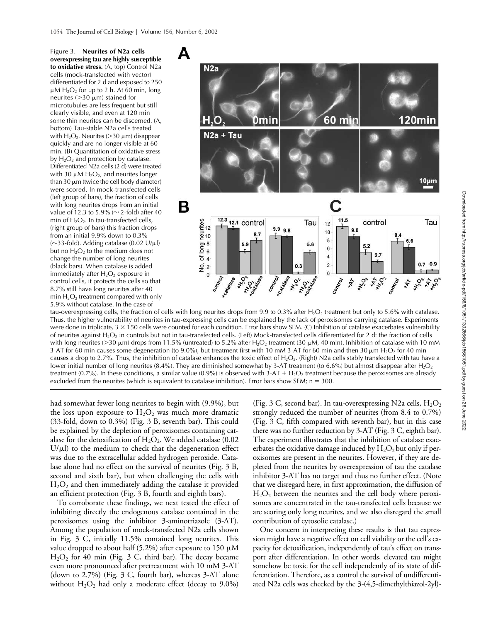Figure 3. **Neurites of N2a cells overexpressing tau are highly susceptible to oxidative stress.** (A, top) Control N2a cells (mock-transfected with vector) differentiated for 2 d and exposed to 250  $\mu$ M H<sub>2</sub>O<sub>2</sub> for up to 2 h. At 60 min, long neurites ( $>$ 30  $\mu$ m) stained for microtubules are less frequent but still clearly visible, and even at 120 min some thin neurites can be discerned. (A, bottom) Tau-stable N2a cells treated with  $H_2O_2$ . Neurites ( $>$ 30 µm) disappear quickly and are no longer visible at 60 min. (B) Quantitation of oxidative stress by  $H_2O_2$  and protection by catalase. Differentiated N2a cells (2 d) were treated with 30  $\mu$ M H<sub>2</sub>O<sub>2</sub>, and neurites longer than 30  $\mu$ m (twice the cell body diameter) were scored. In mock-transfected cells (left group of bars), the fraction of cells with long neurites drops from an initial value of 12.3 to 5.9% ( $\sim$  2-fold) after 40 min of  $H_2O_2$ . In tau-transfected cells, (right group of bars) this fraction drops from an initial 9.9% down to 0.3%  $(\sim$ 33-fold). Adding catalase  $(0.02 \text{ U}/\mu\text{I})$ but no  $H_2O_2$  to the medium does not change the number of long neurites (black bars). When catalase is added immediately after  $H_2O_2$  exposure in control cells, it protects the cells so that 8.7% still have long neurites after 40 min  $H_2O_2$  treatment compared with only 5.9% without catalase. In the case of



tau-overexpressing cells, the fraction of cells with long neurites drops from 9.9 to 0.3% after H<sub>2</sub>O<sub>2</sub> treatment but only to 5.6% with catalase. Thus, the higher vulnerability of neurites in tau-expressing cells can be explained by the lack of peroxisomes carrying catalase. Experiments were done in triplicate,  $3 \times 150$  cells were counted for each condition. Error bars show SEM. (C) Inhibition of catalase exacerbates vulnerability of neurites against H<sub>2</sub>O<sub>2</sub> in controls but not in tau-transfected cells. (Left) Mock-transfected cells differentiated for 2 d: the fraction of cells with long neurites ( $>$ 30  $\mu$ m) drops from 11.5% (untreated) to 5.2% after H<sub>2</sub>O<sub>2</sub> treatment (30  $\mu$ M, 40 min). Inhibition of catalase with 10 mM 3-AT for 60 min causes some degeneration (to 9.0%), but treatment first with 10 mM 3-AT for 60 min and then 30  $\mu$ m H<sub>2</sub>O<sub>2</sub> for 40 min causes a drop to 2.7%. Thus, the inhibition of catalase enhances the toxic effect of H<sub>2</sub>O<sub>2</sub>. (Right) N2a cells stably transfected with tau have a lower initial number of long neurites (8.4%). They are diminished somewhat by 3-AT treatment (to 6.6%) but almost disappear after H<sub>2</sub>O<sub>2</sub> treatment (0.7%). In these conditions, a similar value (0.9%) is observed with  $3-AT + H_2O_2$  treatment because the peroxisomes are already excluded from the neurites (which is equivalent to catalase inhibition). Error bars show SEM;  $n = 300$ .

had somewhat fewer long neurites to begin with (9.9%), but the loss upon exposure to  $H_2O_2$  was much more dramatic (33-fold, down to 0.3%) (Fig. 3 B, seventh bar). This could be explained by the depletion of peroxisomes containing catalase for the detoxification of  $H_2O_2$ . We added catalase (0.02  $U/\mu$ l) to the medium to check that the degeneration effect was due to the extracellular added hydrogen peroxide. Catalase alone had no effect on the survival of neurites (Fig. 3 B, second and sixth bar), but when challenging the cells with  $H<sub>2</sub>O<sub>2</sub>$  and then immediately adding the catalase it provided an efficient protection (Fig. 3 B, fourth and eighth bars).

To corroborate these findings, we next tested the effect of inhibiting directly the endogenous catalase contained in the peroxisomes using the inhibitor 3-aminotriazole (3-AT). Among the population of mock-transfected N2a cells shown in Fig. 3 C, initially 11.5% contained long neurites. This value dropped to about half (5.2%) after exposure to 150  $\mu$ M  $H<sub>2</sub>O<sub>2</sub>$  for 40 min (Fig. 3 C, third bar). The decay became even more pronounced after pretreatment with 10 mM 3-AT (down to 2.7%) (Fig. 3 C, fourth bar), whereas 3-AT alone without  $H_2O_2$  had only a moderate effect (decay to 9.0%)

(Fig. 3 C, second bar). In tau-overexpressing N2a cells,  $H_2O_2$ strongly reduced the number of neurites (from 8.4 to 0.7%) (Fig. 3 C, fifth compared with seventh bar), but in this case there was no further reduction by 3-AT (Fig. 3 C, eighth bar). The experiment illustrates that the inhibition of catalase exacerbates the oxidative damage induced by  $H_2O_2$  but only if peroxisomes are present in the neurites. However, if they are depleted from the neurites by overexpression of tau the catalase inhibitor 3-AT has no target and thus no further effect. (Note that we disregard here, in first approximation, the diffusion of  $H<sub>2</sub>O<sub>2</sub>$  between the neurites and the cell body where peroxisomes are concentrated in the tau-transfected cells because we are scoring only long neurites, and we also disregard the small contribution of cytosolic catalase.)

One concern in interpreting these results is that tau expression might have a negative effect on cell viability or the cell's capacity for detoxification, independently of tau's effect on transport after differentiation. In other words, elevated tau might somehow be toxic for the cell independently of its state of differentiation. Therefore, as a control the survival of undifferentiated N2a cells was checked by the 3-(4,5-dimethylthiazol-2yl)-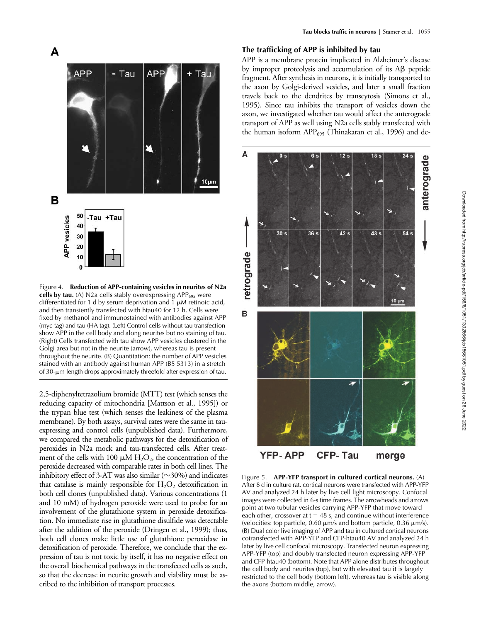

Figure 4. **Reduction of APP-containing vesicles in neurites of N2a**  cells by tau. (A) N2a cells stably overexpressing APP<sub>695</sub> were differentiated for 1 d by serum deprivation and  $1 \mu$ M retinoic acid, and then transiently transfected with htau40 for 12 h. Cells were fixed by methanol and immunostained with antibodies against APP (myc tag) and tau (HA tag). (Left) Control cells without tau transfection show APP in the cell body and along neurites but no staining of tau. (Right) Cells transfected with tau show APP vesicles clustered in the Golgi area but not in the neurite (arrow), whereas tau is present throughout the neurite. (B) Quantitation: the number of APP vesicles stained with an antibody against human APP (B5 5313) in a stretch of 30- $\mu$ m length drops approximately threefold after expression of tau.

2,5-diphenyltetrazolium bromide (MTT) test (which senses the reducing capacity of mitochondria [Mattson et al., 1995]) or the trypan blue test (which senses the leakiness of the plasma membrane). By both assays, survival rates were the same in tauexpressing and control cells (unpublished data). Furthermore, we compared the metabolic pathways for the detoxification of peroxides in N2a mock and tau-transfected cells. After treatment of the cells with 100  $\mu$ M H<sub>2</sub>O<sub>2</sub>, the concentration of the peroxide decreased with comparable rates in both cell lines. The inhibitory effect of 3-AT was also similar ( $\sim$ 30%) and indicates that catalase is mainly responsible for  $H_2O_2$  detoxification in both cell clones (unpublished data). Various concentrations (1 and 10 mM) of hydrogen peroxide were used to probe for an involvement of the glutathione system in peroxide detoxification. No immediate rise in glutathione disulfide was detectable after the addition of the peroxide (Dringen et al., 1999); thus, both cell clones make little use of glutathione peroxidase in detoxification of peroxide. Therefore, we conclude that the expression of tau is not toxic by itself, it has no negative effect on the overall biochemical pathways in the transfected cells as such, so that the decrease in neurite growth and viability must be ascribed to the inhibition of transport processes.

#### **The trafficking of APP is inhibited by tau**

APP is a membrane protein implicated in Alzheimer's disease by improper proteolysis and accumulation of its Aß peptide fragment. After synthesis in neurons, it is initially transported to the axon by Golgi-derived vesicles, and later a small fraction travels back to the dendrites by transcytosis (Simons et al., 1995). Since tau inhibits the transport of vesicles down the axon, we investigated whether tau would affect the anterograde transport of APP as well using N2a cells stably transfected with the human isoform  $APP<sub>695</sub>$  (Thinakaran et al., 1996) and de-



Figure 5. **APP-YFP transport in cultured cortical neurons.** (A) After 8 d in culture rat, cortical neurons were transfected with APP-YFP AV and analyzed 24 h later by live cell light microscopy. Confocal images were collected in 6-s time frames. The arrowheads and arrows point at two tubular vesicles carrying APP-YFP that move toward each other, crossover at  $t = 48$  s, and continue without interference (velocities: top particle,  $0.60 \mu m/s$  and bottom particle,  $0.36 \mu m/s$ ). (B) Dual color live imaging of APP and tau in cultured cortical neurons cotransfected with APP-YFP and CFP-htau40 AV and analyzed 24 h later by live cell confocal microscopy. Transfected neuron expressing APP-YFP (top) and doubly transfected neuron expressing APP-YFP and CFP-htau40 (bottom). Note that APP alone distributes throughout the cell body and neurites (top), but with elevated tau it is largely restricted to the cell body (bottom left), whereas tau is visible along the axons (bottom middle, arrow).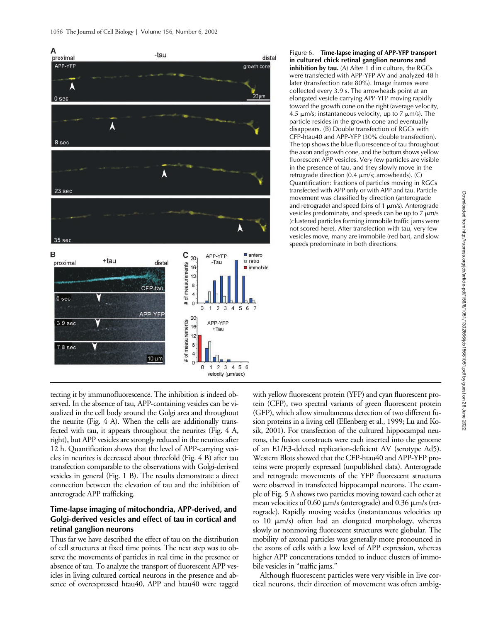

Figure 6. **Time-lapse imaging of APP-YFP transport in cultured chick retinal ganglion neurons and inhibition by tau.** (A) After 1 d in culture, the RGCs were transfected with APP-YFP AV and analyzed 48 h later (transfection rate 80%). Image frames were collected every 3.9 s. The arrowheads point at an elongated vesicle carrying APP-YFP moving rapidly toward the growth cone on the right (average velocity, 4.5  $\mu$ m/s; instantaneous velocity, up to 7  $\mu$ m/s). The particle resides in the growth cone and eventually disappears. (B) Double transfection of RGCs with CFP-htau40 and APP-YFP (30% double transfection). The top shows the blue fluorescence of tau throughout the axon and growth cone, and the bottom shows yellow fluorescent APP vesicles. Very few particles are visible in the presence of tau, and they slowly move in the retrograde direction  $(0.4 \mu m/s)$ ; arrowheads).  $(C)$ Quantification: fractions of particles moving in RGCs transfected with APP only or with APP and tau. Particle movement was classified by direction (anterograde and retrograde) and speed (bins of  $1 \mu m/s$ ). Anterograde vesicles predominate, and speeds can be up to  $7 \mu m/s$ (clustered particles forming immobile traffic jams were not scored here). After transfection with tau, very few vesicles move, many are immobile (red bar), and slow speeds predominate in both directions.

tecting it by immunofluorescence. The inhibition is indeed observed. In the absence of tau, APP-containing vesicles can be visualized in the cell body around the Golgi area and throughout the neurite (Fig. 4 A). When the cells are additionally transfected with tau, it appears throughout the neurites (Fig. 4 A, right), but APP vesicles are strongly reduced in the neurites after 12 h. Quantification shows that the level of APP-carrying vesicles in neurites is decreased about threefold (Fig. 4 B) after tau transfection comparable to the observations with Golgi-derived vesicles in general (Fig. 1 B). The results demonstrate a direct connection between the elevation of tau and the inhibition of anterograde APP trafficking.

# **Time-lapse imaging of mitochondria, APP-derived, and Golgi-derived vesicles and effect of tau in cortical and retinal ganglion neurons**

Thus far we have described the effect of tau on the distribution of cell structures at fixed time points. The next step was to observe the movements of particles in real time in the presence or absence of tau. To analyze the transport of fluorescent APP vesicles in living cultured cortical neurons in the presence and absence of overexpressed htau40, APP and htau40 were tagged

with yellow fluorescent protein (YFP) and cyan fluorescent protein (CFP), two spectral variants of green fluorescent protein (GFP), which allow simultaneous detection of two different fusion proteins in a living cell (Ellenberg et al., 1999; Lu and Kosik, 2001). For transfection of the cultured hippocampal neurons, the fusion constructs were each inserted into the genome of an E1/E3-deleted replication-deficient AV (serotype Ad5). Western Blots showed that the CFP-htau40 and APP-YFP proteins were properly expressed (unpublished data). Anterograde and retrograde movements of the YFP fluorescent structures were observed in transfected hippocampal neurons. The example of Fig. 5 A shows two particles moving toward each other at mean velocities of 0.60  $\mu$ m/s (anterograde) and 0.36  $\mu$ m/s (retrograde). Rapidly moving vesicles (instantaneous velocities up to  $10 \mu m/s$ ) often had an elongated morphology, whereas slowly or nonmoving fluorescent structures were globular. The mobility of axonal particles was generally more pronounced in the axons of cells with a low level of APP expression, whereas higher APP concentrations tended to induce clusters of immobile vesicles in "traffic jams."

Although fluorescent particles were very visible in live cortical neurons, their direction of movement was often ambig-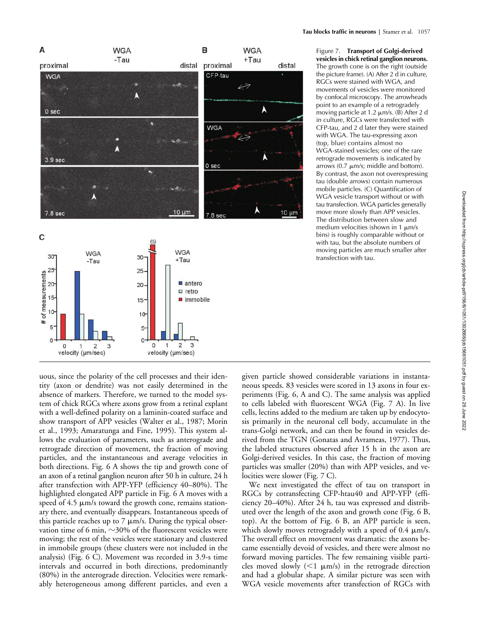



Figure 7. **Transport of Golgi-derived vesicles in chick retinal ganglion neurons.** The growth cone is on the right (outside the picture frame). (A) After 2 d in culture, RGCs were stained with WGA, and movements of vesicles were monitored by confocal microscopy. The arrowheads point to an example of a retrogradely moving particle at 1.2 m/s. (B) After 2 d in culture, RGCs were transfected with CFP-tau, and 2 d later they were stained with WGA. The tau-expressing axon (top, blue) contains almost no WGA-stained vesicles; one of the rare retrograde movements is indicated by arrows (0.7  $\mu$ m/s; middle and bottom). By contrast, the axon not overexpressing tau (double arrows) contain numerous mobile particles. (C) Quantification of WGA vesicle transport without or with tau transfection. WGA particles generally move more slowly than APP vesicles. The distribution between slow and medium velocities (shown in 1  $\mu$ m/s bins) is roughly comparable without or with tau, but the absolute numbers of moving particles are much smaller after transfection with tau.

uous, since the polarity of the cell processes and their identity (axon or dendrite) was not easily determined in the absence of markers. Therefore, we turned to the model system of chick RGCs where axons grow from a retinal explant with a well-defined polarity on a laminin-coated surface and show transport of APP vesicles (Walter et al., 1987; Morin et al., 1993; Amaratunga and Fine, 1995). This system allows the evaluation of parameters, such as anterograde and retrograde direction of movement, the fraction of moving particles, and the instantaneous and average velocities in both directions. Fig. 6 A shows the tip and growth cone of an axon of a retinal ganglion neuron after 50 h in culture, 24 h after transfection with APP-YFP (efficiency 40–80%). The highlighted elongated APP particle in Fig. 6 A moves with a speed of  $4.5 \mu m/s$  toward the growth cone, remains stationary there, and eventually disappears. Instantaneous speeds of this particle reaches up to  $7 \mu m/s$ . During the typical observation time of 6 min,  $\sim$ 30% of the fluorescent vesicles were moving; the rest of the vesicles were stationary and clustered in immobile groups (these clusters were not included in the analysis) (Fig. 6 C). Movement was recorded in 3.9-s time intervals and occurred in both directions, predominantly (80%) in the anterograde direction. Velocities were remarkably heterogeneous among different particles, and even a

given particle showed considerable variations in instantaneous speeds. 83 vesicles were scored in 13 axons in four experiments (Fig. 6, A and C). The same analysis was applied to cells labeled with fluorescent WGA (Fig. 7 A). In live cells, lectins added to the medium are taken up by endocytosis primarily in the neuronal cell body, accumulate in the trans-Golgi network, and can then be found in vesicles derived from the TGN (Gonatas and Avrameas, 1977). Thus, the labeled structures observed after 15 h in the axon are Golgi-derived vesicles. In this case, the fraction of moving particles was smaller (20%) than with APP vesicles, and velocities were slower (Fig. 7 C).

We next investigated the effect of tau on transport in RGCs by cotransfecting CFP-htau40 and APP-YFP (efficiency 20–40%). After 24 h, tau was expressed and distributed over the length of the axon and growth cone (Fig. 6 B, top). At the bottom of Fig. 6 B, an APP particle is seen, which slowly moves retrogradely with a speed of  $0.4 \mu m/s$ . The overall effect on movement was dramatic: the axons became essentially devoid of vesicles, and there were almost no forward moving particles. The few remaining visible particles moved slowly  $(<1$   $\mu$ m/s) in the retrograde direction and had a globular shape. A similar picture was seen with WGA vesicle movements after transfection of RGCs with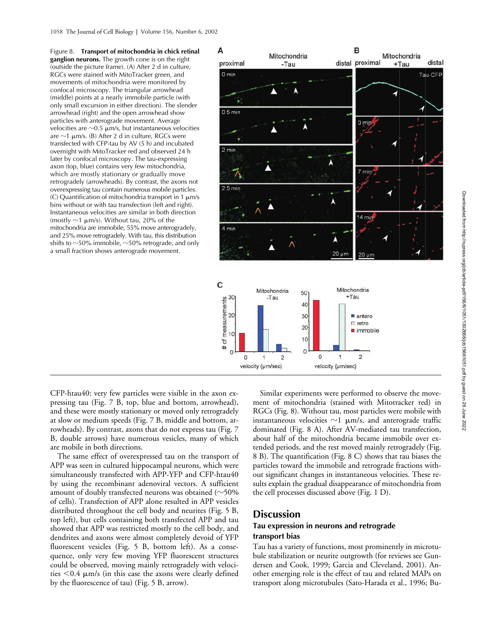Figure 8. **Transport of mitochondria in chick retinal ganglion neurons.** The growth cone is on the right (outside the picture frame). (A) After 2 d in culture, RGCs were stained with MitoTracker green, and movements of mitochondria were monitored by confocal microscopy. The triangular arrowhead (middle) points at a nearly immobile particle (with only small excursion in either direction). The slender arrowhead (right) and the open arrowhead show particles with anterograde movement. Average velocities are  $\sim$  0.5  $\mu$ m/s, but instantaneous velocities are  $\sim$ 1  $\mu$ m/s. (B) After 2 d in culture, RGCs were transfected with CFP-tau by AV (5 h) and incubated overnight with MitoTracker red and observed 24 h later by confocal microscopy. The tau-expressing axon (top, blue) contains very few mitochondria, which are mostly stationary or gradually move retrogradely (arrowheads). By contrast, the axons not overexpressing tau contain numerous mobile particles. (C) Quantification of mitochondria transport in 1  $\mu$ m/s bins without or with tau transfection (left and right). Instantaneous velocities are similar in both direction (mostly  $\sim$ 1  $\mu$ m/s). Without tau, 20% of the mitochondria are immobile, 55% move anterogradely, and 25% move retrogradely. With tau, this distribution shifts to  $\sim$ 50% immobile,  $\sim$ 50% retrograde, and only a small fraction shows anterograde movement.



CFP-htau40: very few particles were visible in the axon expressing tau (Fig. 7 B, top, blue and bottom, arrowhead), and these were mostly stationary or moved only retrogradely at slow or medium speeds (Fig. 7 B, middle and bottom, arrowheads). By contrast, axons that do not express tau (Fig. 7 B, double arrows) have numerous vesicles, many of which are mobile in both directions.

The same effect of overexpressed tau on the transport of APP was seen in cultured hippocampal neurons, which were simultaneously transfected with APP-YFP and CFP-htau40 by using the recombinant adenoviral vectors. A sufficient amount of doubly transfected neurons was obtained ( $\sim$ 50% of cells). Transfection of APP alone resulted in APP vesicles distributed throughout the cell body and neurites (Fig. 5 B, top left), but cells containing both transfected APP and tau showed that APP was restricted mostly to the cell body, and dendrites and axons were almost completely devoid of YFP fluorescent vesicles (Fig. 5 B, bottom left). As a consequence, only very few moving YFP fluorescent structures could be observed, moving mainly retrogradely with velocities  $\leq 0.4$   $\mu$ m/s (in this case the axons were clearly defined by the fluorescence of tau) (Fig. 5 B, arrow).

Similar experiments were performed to observe the movement of mitochondria (stained with Mitotracker red) in RGCs (Fig. 8). Without tau, most particles were mobile with instantaneous velocities  ${\sim}$ 1  ${\upmu}$ m/s, and anterograde traffic dominated (Fig. 8 A). After AV-mediated tau transfection, about half of the mitochondria became immobile over extended periods, and the rest moved mainly retrogradely (Fig. 8 B). The quantification (Fig. 8 C) shows that tau biases the particles toward the immobile and retrograde fractions without significant changes in instantaneous velocities. These results explain the gradual disappearance of mitochondria from the cell processes discussed above (Fig. 1 D).

# **Discussion**

# **Tau expression in neurons and retrograde transport bias**

Tau has a variety of functions, most prominently in microtubule stabilization or neurite outgrowth (for reviews see Gundersen and Cook, 1999; Garcia and Cleveland, 2001). Another emerging role is the effect of tau and related MAPs on transport along microtubules (Sato-Harada et al., 1996; Bu-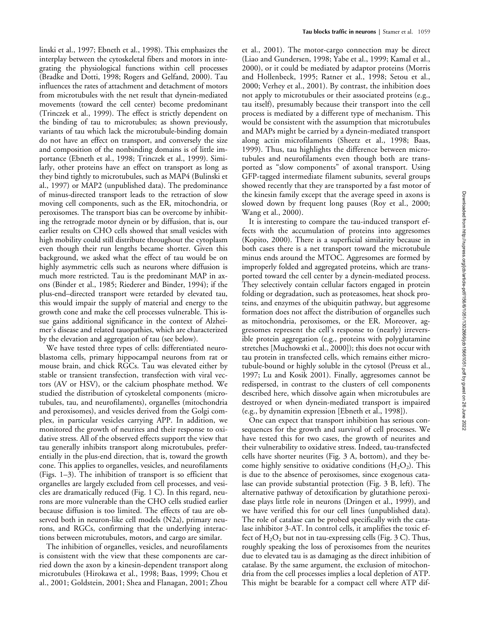linski et al., 1997; Ebneth et al., 1998). This emphasizes the interplay between the cytoskeletal fibers and motors in integrating the physiological functions within cell processes (Bradke and Dotti, 1998; Rogers and Gelfand, 2000). Tau influences the rates of attachment and detachment of motors from microtubules with the net result that dynein-mediated movements (toward the cell center) become predominant (Trinczek et al., 1999). The effect is strictly dependent on the binding of tau to microtubules; as shown previously, variants of tau which lack the microtubule-binding domain do not have an effect on transport, and conversely the size and composition of the nonbinding domains is of little importance (Ebneth et al., 1998; Trinczek et al., 1999). Similarly, other proteins have an effect on transport as long as they bind tightly to microtubules, such as MAP4 (Bulinski et al., 1997) or MAP2 (unpublished data). The predominance of minus-directed transport leads to the retraction of slow moving cell components, such as the ER, mitochondria, or peroxisomes. The transport bias can be overcome by inhibiting the retrograde motor dynein or by diffusion, that is, our earlier results on CHO cells showed that small vesicles with high mobility could still distribute throughout the cytoplasm even though their run lengths became shorter. Given this background, we asked what the effect of tau would be on highly asymmetric cells such as neurons where diffusion is much more restricted. Tau is the predominant MAP in axons (Binder et al., 1985; Riederer and Binder, 1994); if the plus-end–directed transport were retarded by elevated tau, this would impair the supply of material and energy to the growth cone and make the cell processes vulnerable. This issue gains additional significance in the context of Alzheimer's disease and related tauopathies, which are characterized by the elevation and aggregation of tau (see below).

We have tested three types of cells: differentiated neuroblastoma cells, primary hippocampal neurons from rat or mouse brain, and chick RGCs. Tau was elevated either by stable or transient transfection, transfection with viral vectors (AV or HSV), or the calcium phosphate method. We studied the distribution of cytoskeletal components (microtubules, tau, and neurofilaments), organelles (mitochondria and peroxisomes), and vesicles derived from the Golgi complex, in particular vesicles carrying APP. In addition, we monitored the growth of neurites and their response to oxidative stress. All of the observed effects support the view that tau generally inhibits transport along microtubules, preferentially in the plus-end direction, that is, toward the growth cone. This applies to organelles, vesicles, and neurofilaments (Figs. 1–3). The inhibition of transport is so efficient that organelles are largely excluded from cell processes, and vesicles are dramatically reduced (Fig. 1 C). In this regard, neurons are more vulnerable than the CHO cells studied earlier because diffusion is too limited. The effects of tau are observed both in neuron-like cell models (N2a), primary neurons, and RGCs, confirming that the underlying interactions between microtubules, motors, and cargo are similar.

The inhibition of organelles, vesicles, and neurofilaments is consistent with the view that these components are carried down the axon by a kinesin-dependent transport along microtubules (Hirokawa et al., 1998; Baas, 1999; Chou et al., 2001; Goldstein, 2001; Shea and Flanagan, 2001; Zhou

et al., 2001). The motor-cargo connection may be direct (Liao and Gundersen, 1998; Yabe et al., 1999; Kamal et al., 2000), or it could be mediated by adaptor proteins (Morris and Hollenbeck, 1995; Ratner et al., 1998; Setou et al., 2000; Verhey et al., 2001). By contrast, the inhibition does not apply to microtubules or their associated proteins (e.g., tau itself), presumably because their transport into the cell process is mediated by a different type of mechanism. This would be consistent with the assumption that microtubules and MAPs might be carried by a dynein-mediated transport along actin microfilaments (Sheetz et al., 1998; Baas, 1999). Thus, tau highlights the difference between microtubules and neurofilaments even though both are transported as "slow components" of axonal transport. Using GFP-tagged intermediate filament subunits, several groups showed recently that they are transported by a fast motor of the kinesin family except that the average speed in axons is slowed down by frequent long pauses (Roy et al., 2000; Wang et al., 2000).

It is interesting to compare the tau-induced transport effects with the accumulation of proteins into aggresomes (Kopito, 2000). There is a superficial similarity because in both cases there is a net transport toward the microtubule minus ends around the MTOC. Aggresomes are formed by improperly folded and aggregated proteins, which are transported toward the cell center by a dynein-mediated process. They selectively contain cellular factors engaged in protein folding or degradation, such as proteasomes, heat shock proteins, and enzymes of the ubiquitin pathway, but aggresome formation does not affect the distribution of organelles such as mitochondria, peroxisomes, or the ER. Moreover, aggresomes represent the cell's response to (nearly) irreversible protein aggregation (e.g., proteins with polyglutamine stretches [Muchowski et al., 2000]); this does not occur with tau protein in transfected cells, which remains either microtubule-bound or highly soluble in the cytosol (Preuss et al., 1997; Lu and Kosik 2001). Finally, aggresomes cannot be redispersed, in contrast to the clusters of cell components described here, which dissolve again when microtubules are destroyed or when dynein-mediated transport is impaired (e.g., by dynamitin expression [Ebneth et al., 1998]).

One can expect that transport inhibition has serious consequences for the growth and survival of cell processes. We have tested this for two cases, the growth of neurites and their vulnerability to oxidative stress. Indeed, tau-transfected cells have shorter neurites (Fig. 3 A, bottom), and they become highly sensitive to oxidative conditions  $(H_2O_2)$ . This is due to the absence of peroxisomes, since exogenous catalase can provide substantial protection (Fig. 3 B, left). The alternative pathway of detoxification by glutathione peroxidase plays little role in neurons (Dringen et al., 1999), and we have verified this for our cell lines (unpublished data). The role of catalase can be probed specifically with the catalase inhibitor 3-AT. In control cells, it amplifies the toxic effect of  $H_2O_2$  but not in tau-expressing cells (Fig. 3 C). Thus, roughly speaking the loss of peroxisomes from the neurites due to elevated tau is as damaging as the direct inhibition of catalase. By the same argument, the exclusion of mitochondria from the cell processes implies a local depletion of ATP. This might be bearable for a compact cell where ATP dif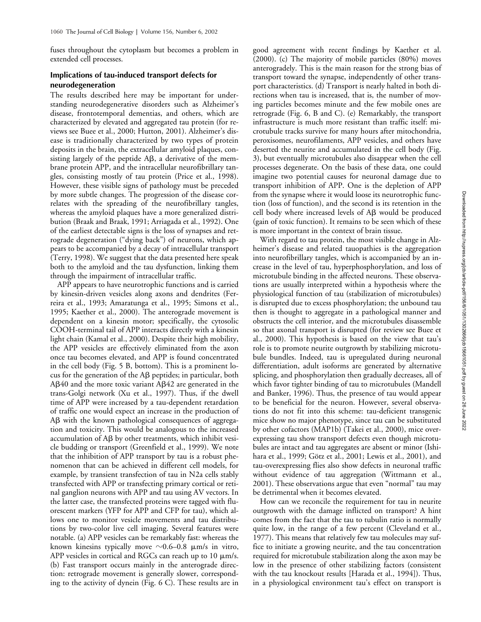fuses throughout the cytoplasm but becomes a problem in extended cell processes.

## **Implications of tau-induced transport defects for neurodegeneration**

The results described here may be important for understanding neurodegenerative disorders such as Alzheimer's disease, frontotemporal dementias, and others, which are characterized by elevated and aggregated tau protein (for reviews see Buee et al., 2000; Hutton, 2001). Alzheimer's disease is traditionally characterized by two types of protein deposits in the brain, the extracellular amyloid plaques, consisting largely of the peptide  $\mathsf{AB},$  a derivative of the membrane protein APP, and the intracellular neurofibrillary tangles, consisting mostly of tau protein (Price et al., 1998). However, these visible signs of pathology must be preceded by more subtle changes. The progression of the disease correlates with the spreading of the neurofibrillary tangles, whereas the amyloid plaques have a more generalized distribution (Braak and Braak, 1991; Arriagada et al., 1992). One of the earliest detectable signs is the loss of synapses and retrograde degeneration ("dying back") of neurons, which appears to be accompanied by a decay of intracellular transport (Terry, 1998). We suggest that the data presented here speak both to the amyloid and the tau dysfunction, linking them through the impairment of intracellular traffic.

APP appears to have neurotrophic functions and is carried by kinesin-driven vesicles along axons and dendrites (Ferreira et al., 1993; Amaratunga et al., 1995; Simons et al., 1995; Kaether et al., 2000). The anterograde movement is dependent on a kinesin motor; specifically, the cytosolic COOH-terminal tail of APP interacts directly with a kinesin light chain (Kamal et al., 2000). Despite their high mobility, the APP vesicles are effectively eliminated from the axon once tau becomes elevated, and APP is found concentrated in the cell body (Fig. 5 B, bottom). This is a prominent locus for the generation of the  $\mathsf{AB}\n$  peptides; in particular, both  $A\beta40$  and the more toxic variant  $A\beta42$  are generated in the trans-Golgi network (Xu et al., 1997). Thus, if the dwell time of APP were increased by a tau-dependent retardation of traffic one would expect an increase in the production of AB with the known pathological consequences of aggregation and toxicity. This would be analogous to the increased accumulation of  $A\beta$  by other treatments, which inhibit vesicle budding or transport (Greenfield et al., 1999). We note that the inhibition of APP transport by tau is a robust phenomenon that can be achieved in different cell models, for example, by transient transfection of tau in N2a cells stably transfected with APP or transfecting primary cortical or retinal ganglion neurons with APP and tau using AV vectors. In the latter case, the transfected proteins were tagged with fluorescent markers (YFP for APP and CFP for tau), which allows one to monitor vesicle movements and tau distributions by two-color live cell imaging. Several features were notable. (a) APP vesicles can be remarkably fast: whereas the known kinesins typically move  ${\sim}0.6{\rm -}0.8$  µm/s in vitro, APP vesicles in cortical and RGCs can reach up to  $10 \mu m/s$ . (b) Fast transport occurs mainly in the anterograde direction: retrograde movement is generally slower, corresponding to the activity of dynein (Fig. 6 C). These results are in

good agreement with recent findings by Kaether et al. (2000). (c) The majority of mobile particles (80%) moves anterogradely. This is the main reason for the strong bias of transport toward the synapse, independently of other transport characteristics. (d) Transport is nearly halted in both directions when tau is increased, that is, the number of moving particles becomes minute and the few mobile ones are retrograde (Fig. 6, B and C). (e) Remarkably, the transport infrastructure is much more resistant than traffic itself: microtubule tracks survive for many hours after mitochondria, peroxisomes, neurofilaments, APP vesicles, and others have deserted the neurite and accumulated in the cell body (Fig. 3), but eventually microtubules also disappear when the cell processes degenerate. On the basis of these data, one could imagine two potential causes for neuronal damage due to transport inhibition of APP. One is the depletion of APP from the synapse where it would loose its neurotrophic function (loss of function), and the second is its retention in the cell body where increased levels of  $A\beta$  would be produced (gain of toxic function). It remains to be seen which of these is more important in the context of brain tissue.

With regard to tau protein, the most visible change in Alzheimer's disease and related tauopathies is the aggregation into neurofibrillary tangles, which is accompanied by an increase in the level of tau, hyperphosphorylation, and loss of microtubule binding in the affected neurons. These observations are usually interpreted within a hypothesis where the physiological function of tau (stabilization of microtubules) is disrupted due to excess phosphorylation; the unbound tau then is thought to aggregate in a pathological manner and obstructs the cell interior, and the microtubules disassemble so that axonal transport is disrupted (for review see Buee et al., 2000). This hypothesis is based on the view that tau's role is to promote neurite outgrowth by stabilizing microtubule bundles. Indeed, tau is upregulated during neuronal differentiation, adult isoforms are generated by alternative splicing, and phosphorylation then gradually decreases, all of which favor tighter binding of tau to microtubules (Mandell and Banker, 1996). Thus, the presence of tau would appear to be beneficial for the neuron. However, several observations do not fit into this scheme: tau-deficient transgenic mice show no major phenotype, since tau can be substituted by other cofactors (MAP1b) (Takei et al., 2000), mice overexpressing tau show transport defects even though microtubules are intact and tau aggregates are absent or minor (Ishihara et al., 1999; Götz et al., 2001; Lewis et al., 2001), and tau-overexpressing flies also show defects in neuronal traffic without evidence of tau aggregation (Wittmann et al., 2001). These observations argue that even "normal" tau may be detrimental when it becomes elevated.

How can we reconcile the requirement for tau in neurite outgrowth with the damage inflicted on transport? A hint comes from the fact that the tau to tubulin ratio is normally quite low, in the range of a few percent (Cleveland et al., 1977). This means that relatively few tau molecules may suffice to initiate a growing neurite, and the tau concentration required for microtubule stabilization along the axon may be low in the presence of other stabilizing factors (consistent with the tau knockout results [Harada et al., 1994]). Thus, in a physiological environment tau's effect on transport is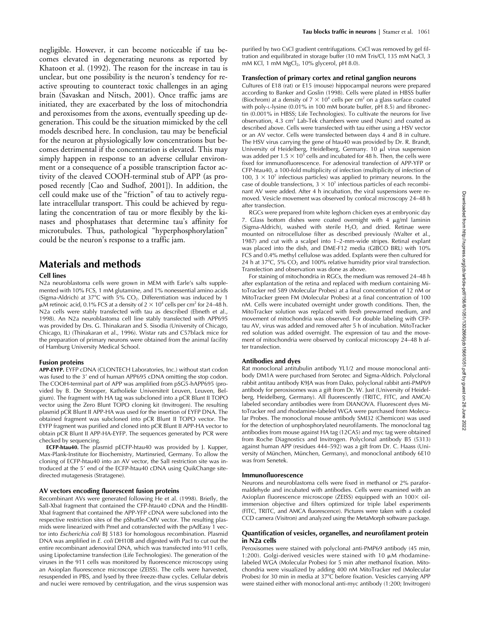negligible. However, it can become noticeable if tau becomes elevated in degenerating neurons as reported by Khatoon et al. (1992). The reason for the increase in tau is unclear, but one possibility is the neuron's tendency for reactive sprouting to counteract toxic challenges in an aging brain (Savaskan and Nitsch, 2001). Once traffic jams are initiated, they are exacerbated by the loss of mitochondria and peroxisomes from the axons, eventually speeding up degeneration. This could be the situation mimicked by the cell models described here. In conclusion, tau may be beneficial for the neuron at physiologically low concentrations but becomes detrimental if the concentration is elevated. This may simply happen in response to an adverse cellular environment or a consequence of a possible transcription factor activity of the cleaved COOH-terminal stub of APP (as proposed recently [Cao and Sudhof, 2001]). In addition, the cell could make use of the "friction" of tau to actively regulate intracellular transport. This could be achieved by regulating the concentration of tau or more flexibly by the kinases and phosphatases that determine tau's affinity for microtubules. Thus, pathological "hyperphosphorylation" could be the neuron's response to a traffic jam.

# **Materials and methods**

#### **Cell lines**

N2a neuroblastoma cells were grown in MEM with Earle's salts supplemented with 10% FCS, 1 mM glutamine, and 1% nonessential amino acids (Sigma-Aldrich) at  $37^{\circ}$ C with  $5\%$  CO<sub>2</sub>. Differentiation was induced by 1  $\mu$ M retinoic acid, 0.1% FCS at a density of 2  $\times$  10<sup>4</sup> cells per cm<sup>2</sup> for 24–48 h. N2a cells were stably transfected with tau as described (Ebneth et al., 1998). An N2a neuroblastoma cell line stably transfected with APP695 was provided by Drs. G. Thinakaran and S. Sisodia (University of Chicago, Chicago, IL) (Thinakaran et al., 1996). Wistar rats and C57black mice for the preparation of primary neurons were obtained from the animal facility of Hamburg University Medical School.

#### **Fusion proteins**

**APP-EYFP.** EYFP cDNA (CLONTECH Laboratories, Inc.) without start codon was fused to the 3' end of human APP695 cDNA omitting the stop codon. The COOH-terminal part of APP was amplified from pSG5-hAPP695 (provided by B. De Strooper, Katholieke Universiteit Leuven, Leuven, Belgium). The fragment with HA tag was subcloned into a pCR Blunt II TOPO vector using the Zero Blunt TOPO cloning kit (Invitrogen). The resulting plasmid pCR Blunt II APP-HA was used for the insertion of EYFP DNA. The obtained fragment was subcloned into pCR Blunt II TOPO vector. The EYFP fragment was purified and cloned into pCR Blunt II APP-HA vector to obtain pCR Blunt II APP-HA-EYFP. The sequences generated by PCR were checked by sequencing.

**ECFP-htau40.** The plasmid pECFP-htau40 was provided by J. Kupper, Max-Plank-Institute for Biochemistry, Martinsried, Germany. To allow the cloning of ECFP-htau40 into an AV vector, the SalI restriction site was introduced at the 5' end of the ECFP-htau40 cDNA using QuikChange sitedirected mutagenesis (Stratagene).

#### **AV vectors encoding fluorescent fusion proteins**

Recombinant AVs were generated following He et al. (1998). Briefly, the SalI-XbaI fragment that contained the CFP-htau40 cDNA and the HindIII-XbaI fragment that contained the APP-YFP cDNA were subcloned into the respective restriction sites of the pShuttle-CMV vector. The resulting plasmids were linearized with PmeI and cotransfected with the pAdEasy 1 vector into *Escherichia coli* BJ 5183 for homologous recombination. Plasmid DNA was amplified in *E. coli* DH10B and digested with PacI to cut out the entire recombinant adenoviral DNA, which was transfected into 911 cells, using Lipofectamine transfection (Life Technologies). The generation of the viruses in the 911 cells was monitored by fluorescence microscopy using an Axioplan fluorescence microscope (ZEISS). The cells were harvested, resuspended in PBS, and lysed by three freeze-thaw cycles. Cellular debris and nuclei were removed by centrifugation, and the virus suspension was purified by two CsCl gradient centrifugations. CsCl was removed by gel filtration and equilibrated in storage buffer (10 mM Tris/Cl, 135 mM NaCl, 3 mM KCl, 1 mM MgCl<sub>2</sub>, 10% glycerol, pH 8.0).

#### **Transfection of primary cortex and retinal ganglion neurons**

Cultures of E18 (rat) or E15 (mouse) hippocampal neurons were prepared according to Banker and Goslin (1998). Cells were plated in HBSS buffer (Biochrom) at a density of  $7 \times 10^4$  cells per cm<sup>2</sup> on a glass surface coated with poly-L-lysine (0.01% in 100 mM borate buffer, pH 8.5) and fibronectin (0.001% in HBSS; Life Technologies). To cultivate the neurons for live observation, 4.3 cm<sup>2</sup> Lab-Tek chambers were used (Nunc) and coated as described above. Cells were transfected with tau either using a HSV vector or an AV vector. Cells were transfected between days 4 and 8 in culture. The HSV virus carrying the gene of htau40 was provided by Dr. R. Brandt, University of Heidelberg, Heidelberg, Germany. 10 µl virus suspension was added per 1.5  $\times$  10<sup>5</sup> cells and incubated for 48 h. Then, the cells were fixed for immunofluorescence. For adenoviral transfection of APP-YFP or CFP-htau40, a 100-fold multiplicity of infection (multiplicity of infection of 100, 3  $\times$  10<sup>7</sup> infectious particles) was applied to primary neurons. In the case of double transfections,  $3 \times 10^7$  infectious particles of each recombinant AV were added. After 4 h incubation, the viral suspensions were removed. Vesicle movement was observed by confocal microscopy 24–48 h after transfection.

RGCs were prepared from white leghorn chicken eyes at embryonic day 7. Glass bottom dishes were coated overnight with 4  $\mu$ g/ml laminin (Sigma-Aldrich), washed with sterile  $H_2O$ , and dried. Retinae were mounted on nitrocellulose filter as described previously (Walter et al., 1987) and cut with a scalpel into 1–2-mm-wide stripes. Retinal explant was placed into the dish, and DME-F12 media (GIBCO BRL) with 10% FCS and 0.4% methyl cellulose was added. Explants were then cultured for 24 h at 37 $\degree$ C, 5% CO<sub>2</sub> and 100% relative humidity prior viral transfection. Transfection and observation was done as above.

For staining of mitochondria in RGCs, the medium was removed 24–48 h after explantation of the retina and replaced with medium containing MitoTracker red 589 (Molecular Probes) at a final concentration of 12 nM or MitoTracker green FM (Molecular Probes) at a final concentration of 100 nM. Cells were incubated overnight under growth conditions. Then, the MitoTracker solution was replaced with fresh prewarmed medium, and movement of mitochondria was observed. For double labeling with CFPtau AV, virus was added and removed after 5 h of incubation. MitoTracker red solution was added overnight. The expression of tau and the movement of mitochondria were observed by confocal microscopy 24–48 h after transfection.

#### **Antibodies and dyes**

Rat monoclonal antitubulin antibody YL1/2 and mouse monoclonal antibody DM1A were purchased from Serotec and Sigma-Aldrich. Polyclonal rabbit antitau antibody K9JA was from Dako, polyclonal rabbit anti-PMP69 antibody for peroxisomes was a gift from Dr. W. Just (University of Heidelberg, Heidelberg, Germany). All fluorescently (TRITC, FITC, and AMCA) labeled secondary antibodies were from DIANOVA. Fluorescent dyes MitoTracker red and rhodamine-labeled WGA were purchased from Molecular Probes. The monoclonal mouse antibody SMI32 (Chemicon) was used for the detection of unphosphorylated neurofilaments. The monoclonal tag antibodies from mouse against HA tag (12CA5) and myc tag were obtained from Roche Diagnostics and Invitrogen. Polyclonal antibody B5 (5313) against human APP (residues 444–592) was a gift from Dr. C. Haass (University of München, München, Germany), and monoclonal antibody 6E10 was from Senetek.

#### **Immunofluorescence**

Neurons and neuroblastoma cells were fixed in methanol or 2% paraformaldehyde and incubated with antibodies. Cells were examined with an Axioplan fluorescence microscope (ZEISS) equipped with an  $100 \times$  oilimmersion objective and filters optimized for triple label experiments (FITC, TRITC, and AMCA fluorescence). Pictures were taken with a cooled CCD camera (Visitron) and analyzed using the MetaMorph software package.

#### **Quantification of vesicles, organelles, and neurofilament protein in N2a cells**

Peroxisomes were stained with polyclonal anti-PMP69 antibody (45 min, 1:200). Golgi-derived vesicles were stained with 10  $\mu$ M rhodaminelabeled WGA (Molecular Probes) for 5 min after methanol fixation. Mitochondria were visualized by adding 400 nM MitoTracker red (Molecular Probes) for 30 min in media at 37°C before fixation. Vesicles carrying APP were stained either with monoclonal anti-myc antibody (1:200; Invitrogen)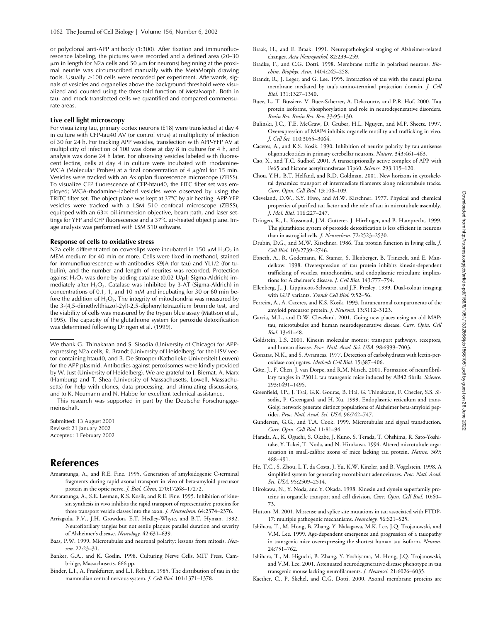or polyclonal anti-APP antibody (1:300). After fixation and immunofluorescence labeling, the pictures were recorded and a defined area (20–30  $\mu$ m in length for N2a cells and 50  $\mu$ m for neurons) beginning at the proximal neurite was circumscribed manually with the MetaMorph drawing tools. Usually >100 cells were recorded per experiment. Afterwards, signals of vesicles and organelles above the background threshold were visualized and counted using the threshold function of MetaMorph. Both in tau- and mock-transfected cells we quantified and compared commensurate areas.

#### **Live cell light microscopy**

For visualizing tau, primary cortex neurons (E18) were transfected at day 4 in culture with CFP-tau40 AV (or control virus) at multiplicity of infection of 30 for 24 h. For tracking APP vesicles, transfection with APP-YFP AV at multiplicity of infection of 100 was done at day 8 in culture for 4 h, and analysis was done 24 h later. For observing vesicles labeled with fluorescent lectins, cells at day 4 in culture were incubated with rhodamine-WGA (Molecular Probes) at a final concentration of 4  $\mu$ g/ml for 15 min. Vesicles were tracked with an Axioplan fluorescence microscope (ZEISS). To visualize CFP fluorescence of CFP-htau40, the FITC filter set was employed; WGA-rhodamine–labeled vesicles were observed by using the TRITC filter set. The object plane was kept at 37°C by air heating. APP-YFP vesicles were tracked with a LSM 510 confocal microscope (ZEISS), equipped with an  $63 \times$  oil-immersion objective, beam path, and laser settings for YFP and CFP fluorescence and a 37°C air-heated object plane. Image analysis was performed with LSM 510 software.

#### **Response of cells to oxidative stress**

N2a cells differentiated on coverslips were incubated in 150  $\mu$ M H<sub>2</sub>O<sub>2</sub> in MEM medium for 40 min or more. Cells were fixed in methanol, stained for immunofluorescence with antibodies K9JA (for tau) and YL1/2 (for tubulin), and the number and length of neurites was recorded. Protection against  $H_2O_2$  was done by adding catalase (0.02 U/ $\mu$ l; Sigma-Aldrich) immediately after  $H_2O_2$ . Catalase was inhibited by 3-AT (Sigma-Aldrich) in concentrations of 0.1, 1, and 10 mM and incubating for 30 or 60 min before the addition of  $H_2O_2$ . The integrity of mitochondria was measured by the 3-(4,5-dimethylthiazol-2yl)-2,5-diphenyltetrazolium bromide test, and the viability of cells was measured by the trypan blue assay (Mattson et al., 1995). The capacity of the glutathione system for peroxide detoxification was determined following Dringen et al. (1999).

We thank G. Thinakaran and S. Sisodia (University of Chicago) for APPexpressing N2a cells, R. Brandt (University of Heidelberg) for the HSV vector containing htau40, and B. De Strooper (Katholieke Universiteit Leuven) for the APP plasmid. Antibodies against peroxisomes were kindly provided by W. Just (University of Heidelberg). We are grateful to J. Biernat, A. Marx (Hamburg) and T. Shea (University of Massachusetts, Lowell, Massachusetts) for help with clones, data processing, and stimulating discussions, and to K. Neumann and N. Habbe for excellent technical assistance.

This research was supported in part by the Deutsche Forschungsgemeinschaft.

Submitted: 13 August 2001 Revised: 21 January 2002 Accepted: 1 February 2002

# **References**

- Amaratunga, A., and R.E. Fine. 1995. Generation of amyloidogenic C-terminal fragments during rapid axonal transport in vivo of beta-amyloid precursor protein in the optic nerve. *J. Biol. Chem.* 270:17268–17272.
- Amaratunga, A., S.E. Leeman, K.S. Kosik, and R.E. Fine. 1995. Inhibition of kinesin synthesis in vivo inhibits the rapid transport of representative proteins for three transport vesicle classes into the axon. *J. Neurochem.* 64:2374–2376.
- Arriagada, P.V., J.H. Growdon, E.T. Hedley-Whyte, and B.T. Hyman. 1992. Neurofibrillary tangles but not senile plaques parallel duration and severity of Alzheimer's disease. *Neurology.* 42:631–639.
- Baas, P.W. 1999. Microtubules and neuronal polarity: lessons from mitosis. *Neuron.* 22:23–31.
- Banker, G.A., and K. Goslin. 1998. Culturing Nerve Cells. MIT Press, Cambridge, Massachusetts. 666 pp.
- Binder, L.I., A. Frankfurter, and L.I. Rebhun. 1985. The distribution of tau in the mammalian central nervous system. *J. Cell Biol.* 101:1371–1378.
- Braak, H., and E. Braak. 1991. Neuropathological staging of Alzheimer-related changes. *Acta Neuropathol.* 82:239–259.
- Bradke, F., and C.G. Dotti. 1998. Membrane traffic in polarized neurons. *Biochim. Biophys. Acta.* 1404:245–258.
- Brandt, R., J. Leger, and G. Lee. 1995. Interaction of tau with the neural plasma membrane mediated by tau's amino-terminal projection domain. *J. Cell Biol.* 131:1327–1340.
- Buee, L., T. Bussiere, V. Buee-Scherrer, A. Delacourte, and P.R. Hof. 2000. Tau protein isoforms, phosphorylation and role in neurodegenerative disorders. *Brain Res. Brain Res. Rev*. 33:95–130.
- Bulinski, J.C., T.E. McGraw, D. Gruber, H.L. Nguyen, and M.P. Sheetz. 1997. Overexpression of MAP4 inhibits organelle motility and trafficking in vivo. *J. Cell Sci.* 110:3055–3064.
- Caceres, A., and K.S. Kosik. 1990. Inhibition of neurite polarity by tau antisense oligonucleotides in primary cerebellar neurons. *Nature.* 343:461–463.
- Cao, X., and T.C. Sudhof. 2001. A transcriptionally active complex of APP with Fe65 and histone acetyltransferase Tip60. *Science.* 293:115–120.
- Chou, Y.H., B.T. Helfand, and R.D. Goldman. 2001. New horizons in cytoskeletal dynamics: transport of intermediate filaments along microtubule tracks. *Curr. Opin. Cell Biol.* 13:106–109.
- Cleveland, D.W., S.Y. Hwo, and M.W. Kirschner. 1977. Physical and chemical properties of purified tau factor and the role of tau in microtubule assembly. *J. Mol. Biol.* 116:227–247.
- Dringen, R., L. Kussmaul, J.M. Gutterer, J. Hirrlinger, and B. Hamprecht. 1999. The glutathione system of peroxide detoxification is less efficient in neurons than in astroglial cells. *J. Neurochem.* 72:2523–2530.
- Drubin, D.G., and M.W. Kirschner. 1986. Tau protein function in living cells. *J. Cell Biol.* 103:2739–2746.
- Ebneth, A., R. Godemann, K. Stamer, S. Illenberger, B. Trinczek, and E. Mandelkow. 1998. Overexpression of tau protein inhibits kinesin-dependent trafficking of vesicles, mitochondria, and endoplasmic reticulum: implications for Alzheimer's disease. *J. Cell Biol.* 143:777–794.
- Ellenberg, J., J. Lippincott-Schwartz, and J.F. Presley. 1999. Dual-colour imaging with GFP variants. *Trends Cell Biol*. 9:52–56.
- Ferreira, A., A. Caceres, and K.S. Kosik. 1993. Intraneuronal compartments of the amyloid precursor protein. *J. Neurosci.* 13:3112–3123.
- Garcia, M.L., and D.W. Cleveland. 2001. Going new places using an old MAP: tau, microtubules and human neurodegenerative disease. *Curr. Opin. Cell Biol.* 13:41–48.
- Goldstein, L.S. 2001. Kinesin molecular motors: transport pathways, receptors, and human disease. *Proc. Natl. Acad. Sci. USA.* 98:6999–7003.
- Gonatas, N.K., and S. Avrameas. 1977. Detection of carbohydrates with lectin-peroxidase conjugates. *Methods Cell Biol.* 15:387–406.
- Götz, J., F. Chen, J. van Dorpe, and R.M. Nitsch. 2001. Formation of neurofibrillary tangles in P301L tau transgenic mice induced by AB42 fibrils. *Science*. 293:1491–1495.
- Greenfield, J.P., J. Tsai, G.K. Gouras, B. Hai, G. Thinakaran, F. Checler, S.S. Sisodia, P. Greengard, and H. Xu. 1999. Endoplasmic reticulum and trans-Golgi network generate distinct populations of Alzheimer beta-amyloid peptides. *Proc. Natl. Acad. Sci. USA.* 96:742–747.
- Gundersen, G.G., and T.A. Cook. 1999. Microtubules and signal transduction. *Curr. Opin. Cell Biol.* 11:81–94.
- Harada, A., K. Oguchi, S. Okabe, J. Kuno, S. Terada, T. Ohshima, R. Sato-Yoshitake, Y. Takei, T. Noda, and N. Hirokawa. 1994. Altered microtubule organization in small-calibre axons of mice lacking tau protein. *Nature.* 369: 488–491.
- He, T.C., S. Zhou, L.T. da Costa, J. Yu, K.W. Kinzler, and B. Vogelstein. 1998. A simplified system for generating recombinant adenoviruses. *Proc. Natl. Acad. Sci. USA*. 95:2509–2514.
- Hirokawa, N., Y. Noda, and Y. Okada. 1998. Kinesin and dynein superfamily proteins in organelle transport and cell division. *Curr. Opin. Cell Biol.* 10:60– 73.
- Hutton, M. 2001. Missense and splice site mutations in tau associated with FTDP-17: multiple pathogenic mechanisms. *Neurology.* 56:S21–S25.
- Ishihara, T., M. Hong, B. Zhang, Y. Nakagawa, M.K. Lee, J.Q. Trojanowski, and V.M. Lee. 1999. Age-dependent emergence and progression of a tauopathy in transgenic mice overexpressing the shortest human tau isoform. *Neuron.* 24:751–762.
- Ishihara, T., M. Higuchi, B. Zhang, Y. Yoshiyama, M. Hong, J.Q. Trojanowski, and V.M. Lee. 2001. Attenuated neurodegenerative disease phenotype in tau transgenic mouse lacking neurofilaments. *J. Neurosci.* 21:6026–6035.
- Kaether, C., P. Skehel, and C.G. Dotti. 2000. Axonal membrane proteins are